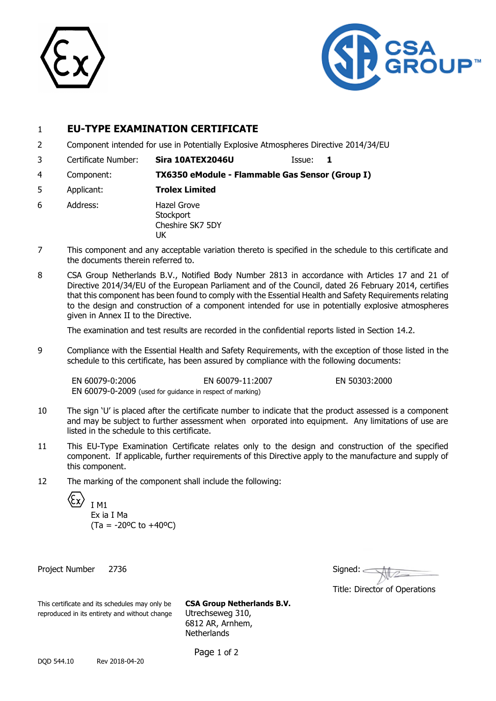



# 1 **EU-TYPE EXAMINATION CERTIFICATE**

- 2 Component intended for use in Potentially Explosive Atmospheres Directive 2014/34/EU
- 3 Certificate Number: **Sira 10ATEX2046U** Issue: **1**

4 Component: **TX6350 eModule - Flammable Gas Sensor (Group I)**

- 5 Applicant: **Trolex Limited**
- 6 Address: Hazel Grove **Stockport** Cheshire SK7 5DY **IK**
- 7 This component and any acceptable variation thereto is specified in the schedule to this certificate and the documents therein referred to.
- 8 CSA Group Netherlands B.V., Notified Body Number 2813 in accordance with Articles 17 and 21 of Directive 2014/34/EU of the European Parliament and of the Council, dated 26 February 2014, certifies that this component has been found to comply with the Essential Health and Safety Requirements relating to the design and construction of a component intended for use in potentially explosive atmospheres given in Annex II to the Directive.

The examination and test results are recorded in the confidential reports listed in Section 14.2.

9 Compliance with the Essential Health and Safety Requirements, with the exception of those listed in the schedule to this certificate, has been assured by compliance with the following documents:

EN 60079-0:2006 EN 60079-11:2007 EN 50303:2000 EN 60079-0-2009 (used for guidance in respect of marking)

- 10 The sign 'U' is placed after the certificate number to indicate that the product assessed is a component and may be subject to further assessment when orporated into equipment. Any limitations of use are listed in the schedule to this certificate.
- 11 This EU-Type Examination Certificate relates only to the design and construction of the specified component. If applicable, further requirements of this Directive apply to the manufacture and supply of this component.
- 12 The marking of the component shall include the following:



Ex ia I Ma  $(Ta = -20$ <sup>o</sup>C to  $+40$ <sup>o</sup>C)

Project Number 2736

| Signed:                       |
|-------------------------------|
| Title: Director of Operations |

This certificate and its schedules may only be **CSA Group Netherlands B.V.** reproduced in its entirety and without change Utrechseweg 310,

6812 AR, Arnhem, **Netherlands** 

Page 1 of 2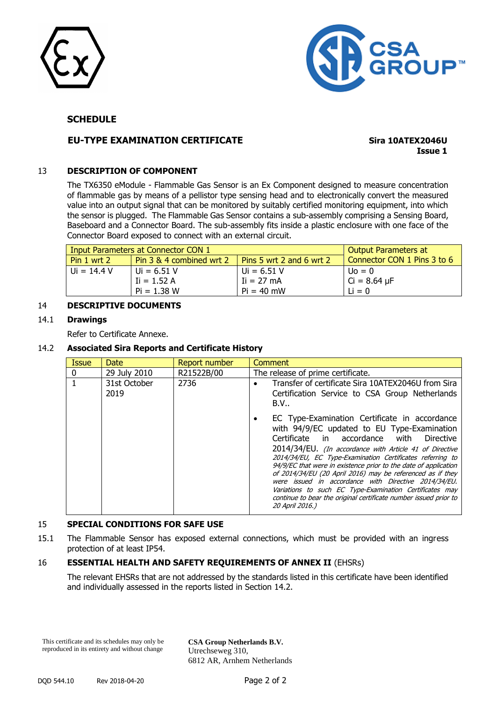



# **SCHEDULE**

# **EU-TYPE EXAMINATION CERTIFICATE Sira 10ATEX2046U**

**Issue 1**

## 13 **DESCRIPTION OF COMPONENT**

The TX6350 eModule - Flammable Gas Sensor is an Ex Component designed to measure concentration of flammable gas by means of a pellistor type sensing head and to electronically convert the measured value into an output signal that can be monitored by suitably certified monitoring equipment, into which the sensor is plugged. The Flammable Gas Sensor contains a sub-assembly comprising a Sensing Board, Baseboard and a Connector Board. The sub-assembly fits inside a plastic enclosure with one face of the Connector Board exposed to connect with an external circuit.

|                 | Input Parameters at Connector CON 1 | Output Parameters at             |                             |
|-----------------|-------------------------------------|----------------------------------|-----------------------------|
| Pin $1$ wrt $2$ | Pin 3 & 4 combined wrt 2            | $\vert$ Pins 5 wrt 2 and 6 wrt 2 | Connector CON 1 Pins 3 to 6 |
| l Ui = 14.4 V   | $U = 6.51 V$                        | $Ui = 6.51 V$                    | $U_0 = 0$                   |
|                 | $I = 1.52 A$                        | $I = 27 mA$                      | $Ci = 8.64 \mu F$           |
|                 | $Pi = 1.38 W$                       | $Pi = 40$ mW                     | $Li = 0$                    |

## 14 **DESCRIPTIVE DOCUMENTS**

### 14.1 **Drawings**

Refer to Certificate Annexe.

#### 14.2 **Associated Sira Reports and Certificate History**

| <b>Issue</b> | Date                 | Report number | Comment                                                                                                                                                                                                                                                                                                                                                                                                                                                                                                                                                                                                               |
|--------------|----------------------|---------------|-----------------------------------------------------------------------------------------------------------------------------------------------------------------------------------------------------------------------------------------------------------------------------------------------------------------------------------------------------------------------------------------------------------------------------------------------------------------------------------------------------------------------------------------------------------------------------------------------------------------------|
| 0            | 29 July 2010         | R21522B/00    | The release of prime certificate.                                                                                                                                                                                                                                                                                                                                                                                                                                                                                                                                                                                     |
|              | 31st October<br>2019 | 2736          | Transfer of certificate Sira 10ATEX2046U from Sira<br>Certification Service to CSA Group Netherlands<br>B.V                                                                                                                                                                                                                                                                                                                                                                                                                                                                                                           |
|              |                      |               | EC Type-Examination Certificate in accordance<br>with 94/9/EC updated to EU Type-Examination<br>Certificate in accordance with<br><b>Directive</b><br>2014/34/EU. (In accordance with Article 41 of Directive<br>2014/34/EU, EC Type-Examination Certificates referring to<br>94/9/EC that were in existence prior to the date of application<br>of 2014/34/EU (20 April 2016) may be referenced as if they<br>were issued in accordance with Directive 2014/34/EU.<br>Variations to such EC Type-Examination Certificates may<br>continue to bear the original certificate number issued prior to<br>20 April 2016.) |

#### 15 **SPECIAL CONDITIONS FOR SAFE USE**

15.1 The Flammable Sensor has exposed external connections, which must be provided with an ingress protection of at least IP54.

# 16 **ESSENTIAL HEALTH AND SAFETY REQUIREMENTS OF ANNEX II** (EHSRs)

The relevant EHSRs that are not addressed by the standards listed in this certificate have been identified and individually assessed in the reports listed in Section 14.2.

This certificate and its schedules may only be reproduced in its entirety and without change

**CSA Group Netherlands B.V.** Utrechseweg 310, 6812 AR, Arnhem Netherlands